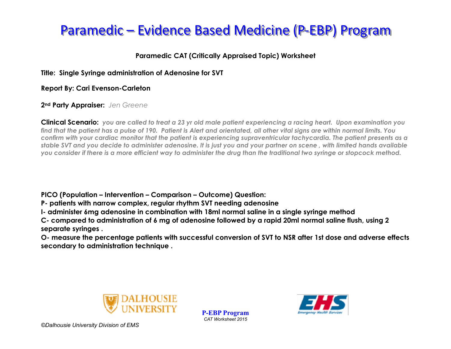### **Paramedic CAT (Critically Appraised Topic) Worksheet**

**Title: Single Syringe administration of Adenosine for SVT**

**Report By: Cari Evenson-Carleton** 

**2nd Party Appraiser:** *Jen Greene* 

**Clinical Scenario:** *you are called to treat a 23 yr old male patient experiencing a racing heart. Upon examination you find that the patient has a pulse of 190. Patient is Alert and orientated, all other vital signs are within normal limits. You confirm with your cardiac monitor that the patient is experiencing supraventricular tachycardia. The patient presents as a stable SVT and you decide to administer adenosine. It is just you and your partner on scene , with limited hands available you consider if there is a more efficient way to administer the drug than the traditional two syringe or stopcock method.* 

**PICO (Population – Intervention – Comparison – Outcome) Question:**

**P- patients with narrow complex, regular rhythm SVT needing adenosine** 

**I- administer 6mg adenosine in combination with 18ml normal saline in a single syringe method** 

**C- compared to administration of 6 mg of adenosine followed by a rapid 20ml normal saline flush, using 2 separate syringes .** 

**O- measure the percentage patients with successful conversion of SVT to NSR after 1st dose and adverse effects secondary to administration technique .** 



**P-EBP Program** *CAT Worksheet 2015* 

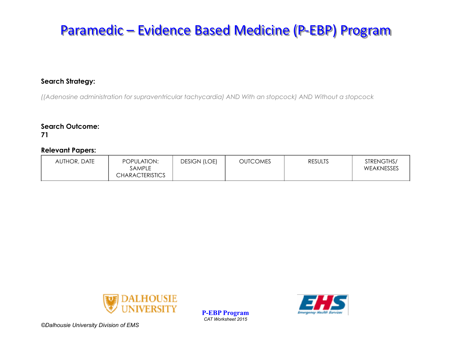### **Search Strategy:**

*((Adenosine administration for supraventricular tachycardia) AND With an stopcock) AND Without a stopcock* 

### **Search Outcome:**

#### **71**

#### **Relevant Papers:**

| AUTHOR, DATE | POPULATION:<br><b>SAMPLE</b><br>CHARACTERISTICS | <b>DESIGN (LOE)</b> | OUTCOMES | <b>RESULTS</b> | STRENGTHS/<br>WEAKNESSES |
|--------------|-------------------------------------------------|---------------------|----------|----------------|--------------------------|
|--------------|-------------------------------------------------|---------------------|----------|----------------|--------------------------|



**P-EBP Program** *CAT Worksheet 2015* 

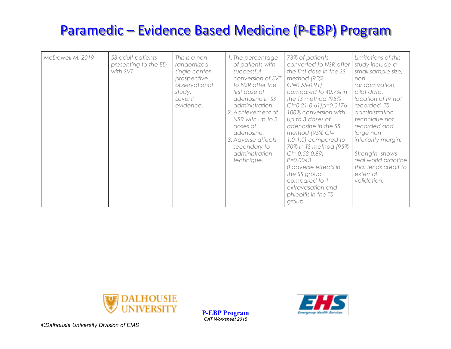| McDowell M. 2019 | 53 adult patients<br>presenting to the ED<br>with SVT | This is a non<br>randomized<br>single center<br>prospective<br>observational<br>study.<br>Level II<br>evidence. | 1. The percentage<br>of patients with<br>successful<br>conversion of SVT<br>to NSR after the<br>first dose of<br>adenosine in SS<br>administration.<br>2. Achievement of<br>NSR with up to 3<br>doses of<br>adenosine.<br>3. Adverse affects<br>secondary to<br>administration<br>technique. | 73% of patients<br>converted to NSR after<br>the first dose in the SS<br>method (95%<br>$CI = 0.55 - 0.91$<br>compared to 40.7% in<br>the TS method (95%)<br>$Cl = 0.21 - 0.61$ $p = 0.0176$<br>100% conversion with<br>up to 3 doses of<br>adenosine in the SS<br>method $(95\%$ CI=<br>$1.0 - 1.0$ ) compared to<br>70% in TS method (95%)<br>$CI = 0.52 - 0.89$<br>$P = 0.0043$<br>0 adverse effects in<br>the SS group<br>compared to 1<br>extravasation and<br>phlebitis in the TS<br>group. | Limitations of this<br>study include a<br>small sample size,<br>non<br>randomization,<br>pilot data,<br>location of IV not<br>recorded, TS<br>administration<br>technique not<br>recorded and<br>large non<br>inferiority margin.<br>Strength shows<br>real world practice<br>that lends credit to<br>external<br>validation. |
|------------------|-------------------------------------------------------|-----------------------------------------------------------------------------------------------------------------|----------------------------------------------------------------------------------------------------------------------------------------------------------------------------------------------------------------------------------------------------------------------------------------------|---------------------------------------------------------------------------------------------------------------------------------------------------------------------------------------------------------------------------------------------------------------------------------------------------------------------------------------------------------------------------------------------------------------------------------------------------------------------------------------------------|-------------------------------------------------------------------------------------------------------------------------------------------------------------------------------------------------------------------------------------------------------------------------------------------------------------------------------|
|------------------|-------------------------------------------------------|-----------------------------------------------------------------------------------------------------------------|----------------------------------------------------------------------------------------------------------------------------------------------------------------------------------------------------------------------------------------------------------------------------------------------|---------------------------------------------------------------------------------------------------------------------------------------------------------------------------------------------------------------------------------------------------------------------------------------------------------------------------------------------------------------------------------------------------------------------------------------------------------------------------------------------------|-------------------------------------------------------------------------------------------------------------------------------------------------------------------------------------------------------------------------------------------------------------------------------------------------------------------------------|



**P-EBP Program** *CAT Worksheet 2015* 

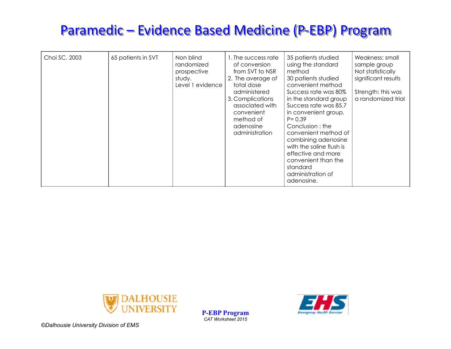| Choi SC. 2003 | 65 patients in SVT | Non blind<br>randomized<br>prospective<br>study.<br>Level 1 evidence | 1. The success rate<br>of conversion<br>from SVT to NSR<br>2. The average of<br>total dose<br>administered<br>3. Complications<br>associated with<br>convenient<br>method of<br>adenosine<br>administration | 35 patients studied<br>using the standard<br>method<br>30 patients studied<br>convenient method<br>Success rate was 80%<br>in the standard group<br>Success rate was 85.7<br>in convenient group.<br>$P = 0.39$<br>Conclusion : the<br>convenient method of<br>combining adenosine<br>with the saline flush is<br>effective and more<br>convenient than the<br>standard<br>administration of<br>adenosine. | Weakness: small<br>sample group<br>Not statistically<br>significant results<br>Strength: this was<br>a randomized trial |
|---------------|--------------------|----------------------------------------------------------------------|-------------------------------------------------------------------------------------------------------------------------------------------------------------------------------------------------------------|------------------------------------------------------------------------------------------------------------------------------------------------------------------------------------------------------------------------------------------------------------------------------------------------------------------------------------------------------------------------------------------------------------|-------------------------------------------------------------------------------------------------------------------------|
|---------------|--------------------|----------------------------------------------------------------------|-------------------------------------------------------------------------------------------------------------------------------------------------------------------------------------------------------------|------------------------------------------------------------------------------------------------------------------------------------------------------------------------------------------------------------------------------------------------------------------------------------------------------------------------------------------------------------------------------------------------------------|-------------------------------------------------------------------------------------------------------------------------|



**P-EBP Program** *CAT Worksheet 2015* 

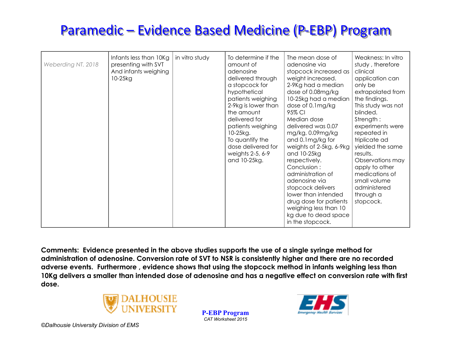| Weberding NT. 2018 | Infants less than 10Kg<br>presenting with SVT<br>And infants weighing<br>$10-25kg$ | in vitro study | To determine if the<br>amount of<br>adenosine<br>delivered through<br>a stopcock for<br>hypothetical<br>patients weighing<br>2-9kg is lower than<br>the amount<br>delivered for<br>patients weighing<br>10-25kg.<br>To quantify the<br>dose delivered for<br>weights 2-5, 6-9<br>and 10-25kg. | The mean dose of<br>adenosine via<br>stopcock increased as<br>weight increased.<br>2-9Kg had a median<br>dose of 0.08mg/kg<br>10-25kg had a median<br>dose of 0.1mg/kg<br>95% CI<br>Median dose<br>delivered was 0.07<br>mg/kg, 0.09mg/kg<br>and 0.1 mg/kg for<br>weights of 2-5kg, 6-9kg<br>and 10-25kg<br>respectively.<br>Conclusion:<br>administration of<br>adenosine via<br>stopcock delivers<br>lower than intended<br>drug dose for patients | Weakness: In vitro<br>study, therefore<br>clinical<br>application can<br>only be<br>extrapolated from<br>the findings.<br>This study was not<br>blinded.<br>Strength:<br>experiments were<br>repeated in<br>triplicate ad<br>yielded the same<br>results.<br>Observations may<br>apply to other<br>medications of<br>small volume<br>administered<br>through a<br>stopcock. |
|--------------------|------------------------------------------------------------------------------------|----------------|-----------------------------------------------------------------------------------------------------------------------------------------------------------------------------------------------------------------------------------------------------------------------------------------------|------------------------------------------------------------------------------------------------------------------------------------------------------------------------------------------------------------------------------------------------------------------------------------------------------------------------------------------------------------------------------------------------------------------------------------------------------|-----------------------------------------------------------------------------------------------------------------------------------------------------------------------------------------------------------------------------------------------------------------------------------------------------------------------------------------------------------------------------|
|                    |                                                                                    |                |                                                                                                                                                                                                                                                                                               | weighing less than 10<br>kg due to dead space<br>in the stopcock.                                                                                                                                                                                                                                                                                                                                                                                    |                                                                                                                                                                                                                                                                                                                                                                             |

**Comments: Evidence presented in the above studies supports the use of a single syringe method for administration of adenosine. Conversion rate of SVT to NSR is consistently higher and there are no recorded adverse events. Furthermore , evidence shows that using the stopcock method in infants weighing less than 10Kg delivers a smaller than intended dose of adenosine and has a negative effect on conversion rate with first dose.** 



**P-EBP Program** *CAT Worksheet 2015*